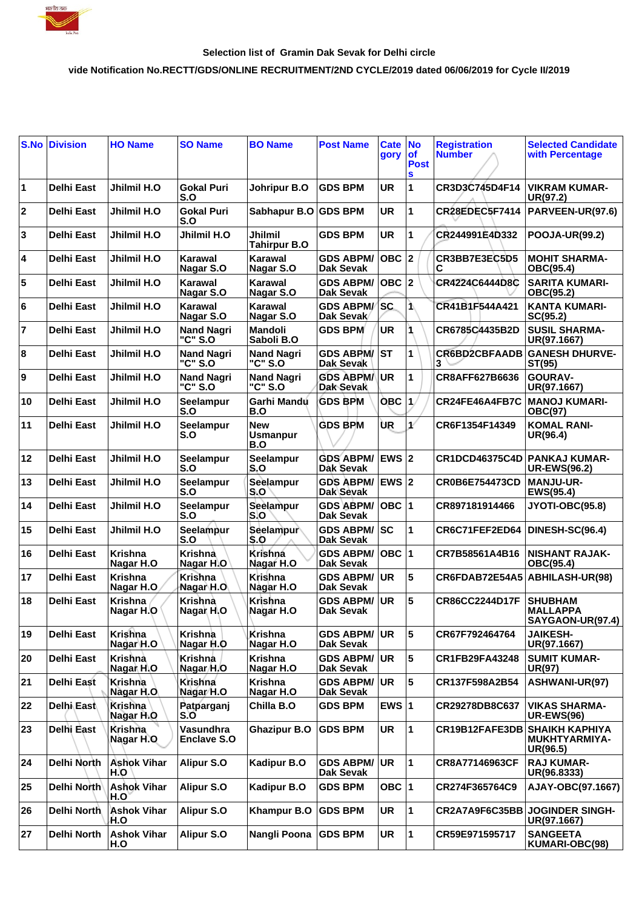

## **Selection list of Gramin Dak Sevak for Delhi circle**

## **vide Notification No.RECTT/GDS/ONLINE RECRUITMENT/2ND CYCLE/2019 dated 06/06/2019 for Cycle II/2019**

| S.No                    | <b>Division</b>   | <b>HO Name</b>              | <b>SO Name</b>                  | <b>BO Name</b>                       | <b>Post Name</b>                        | Cate No<br>gory | $ $ of<br><b>Post</b><br>S | <b>Registration</b><br><b>Number</b> | <b>Selected Candidate</b><br>with Percentage                 |
|-------------------------|-------------------|-----------------------------|---------------------------------|--------------------------------------|-----------------------------------------|-----------------|----------------------------|--------------------------------------|--------------------------------------------------------------|
| $\blacksquare$          | <b>Delhi East</b> | Jhilmil H.O                 | Gokal Puri<br>S.O               | Johripur B.O                         | <b>GDS BPM</b>                          | <b>UR</b>       | 1                          | CR3D3C745D4F14                       | <b>VIKRAM KUMAR-</b><br>UR(97.2)                             |
| $ 2\rangle$             | <b>Delhi East</b> | Jhilmil H.O                 | <b>Gokal Puri</b><br>S.O        | Sabhapur B.O GDS BPM                 |                                         | <b>UR</b>       | 1                          | <b>CR28EDEC5F7414</b>                | PARVEEN-UR(97.6)                                             |
| 3                       | <b>Delhi East</b> | Jhilmil H.O                 | Jhilmil H.O                     | Jhilmil<br><b>Tahirpur B.O</b>       | <b>GDS BPM</b>                          | <b>UR</b>       | 1                          | CR244991E4D332                       | <b>POOJA-UR(99.2)</b>                                        |
| $\overline{\mathbf{4}}$ | <b>Delhi East</b> | Jhilmil H.O                 | Karawal<br>Nagar S.O            | Karawal<br>Nagar S.O                 | <b>GDS ABPM/</b><br>Dak Sevak           |                 |                            | CR3BB7E3EC5D5                        | <b>MOHIT SHARMA-</b><br>OBC(95.4)                            |
| 5                       | <b>Delhi East</b> | Jhilmil H.O                 | Karawal<br>Nagar S.O            | Karawal<br>Nagar S.O                 | <b>GDS ABPM/</b><br>Dak Sevak           | $OBC$ 2         |                            | CR4224C6444D8C                       | <b>SARITA KUMARI-</b><br>OBC(95.2)                           |
| 6                       | Delhi East        | Jhilmil H.O                 | Karawal<br>Nagar S.O            | <b>Karawal</b><br>Nagar S.O          | <b>GDS ABPM/</b><br>Dak Sevak           | <b>SC</b>       | 1.                         | CR41B1F544A421                       | <b>KANTA KUMARI-</b><br>SC(95.2)                             |
| $\overline{7}$          | <b>Delhi East</b> | Jhilmil H.O                 | <b>Nand Nagri</b><br>"C" S.O    | <b>Mandoli</b><br>Saboli B.O         | <b>GDS BPM</b>                          | <b>UR</b>       | 1                          | CR6785C4435B2D                       | <b>SUSIL SHARMA-</b><br>UR(97.1667)                          |
| 8                       | <b>Delhi East</b> | Jhilmil H.O                 | <b>Nand Nagri</b><br>"C" S.O    | <b>Nand Nagri</b><br>"C" S.O         | <b>GDS ABPM/</b><br>Dak Sevak           | IST             | 1                          | <b>CR6BD2CBFAADB</b><br>3            | <b>GANESH DHURVE-</b><br>ST(95)                              |
| 9                       | <b>Delhi East</b> | Jhilmil H.O                 | <b>Nand Nagri</b><br>"C" S.O    | <b>Nand Nagri</b><br>"C" S.O         | <b>GDS ABPM/</b><br>Dak Sevak           | <b>UR</b>       | 1                          | CR8AFF627B6636                       | <b>GOURAV-</b><br>UR(97.1667)                                |
| 10                      | <b>Delhi East</b> | Jhilmil H.O                 | Seelampur<br>S.O                | Garhi Mandu<br>B.O                   | <b>GDS BPM</b>                          | <b>OBC</b> 1    |                            | CR24FE46A4FB7C                       | <b>MANOJ KUMARI-</b><br><b>OBC(97)</b>                       |
| 11                      | <b>Delhi East</b> | Jhilmil H.O                 | <b>Seelampur</b><br>S.O         | <b>New</b><br><b>Usmanpur</b><br>B.O | <b>GDS BPM</b>                          | ÙR              | $\mathbf{1}^{\ell}$        | CR6F1354F14349                       | <b>KOMAL RANI-</b><br>UR(96.4)                               |
| 12                      | <b>Delhi East</b> | Jhilmil H.O                 | Seelampur<br>S.O                | Seelampur<br>S.O                     | <b>GDS ABPM/</b><br>Dak Sevak           | EWS 2           |                            | <b>CR1DCD46375C4D</b>                | <b>PANKAJ KUMAR-</b><br><b>UR-EWS(96.2)</b>                  |
| 13                      | <b>Delhi East</b> | Jhilmil H.O                 | Seelampur<br>S.O                | Seelampur<br>S.O                     | <b>GDS ABPM/</b><br>Dak Sevak           | $EWS$ $2$       |                            | <b>CR0B6E754473CD</b>                | <b>MANJU-UR-</b><br>EWS(95.4)                                |
| 14                      | <b>Delhi East</b> | Jhilmil H.O                 | Seelampur<br>S.O                | Seelampur<br>S.O                     | <b>GDS ABPM/</b><br>Dak Sevak           | $OBC$  1        |                            | CR897181914466                       | JYOTI-OBC(95.8)                                              |
| 15                      | <b>Delhi East</b> | Jhilmil H.O                 | Seelampur<br>S.O                | Seelampur<br>S.O                     | <b>GDS ABPM/ SC</b><br><b>Dak Sevak</b> |                 | 1                          | CR6C71FEF2ED64                       | DINESH-SC(96.4)                                              |
| 16                      | <b>Delhi East</b> | <b>Krishna</b><br>Nagar H.O | Krishna<br>Nagar H.O            | <b>Krishna</b><br>Nagar H.O          | <b>GDS ABPM/</b><br>Dak Sevak           | OBC  1          |                            | CR7B58561A4B16                       | <b>NISHANT RAJAK-</b><br>OBC(95.4)                           |
| 17                      | <b>Delhi East</b> | <b>Krishna</b><br>Nagar H.O | <b>Krishna</b><br>Nagar H.O     | Krishna<br>Nagar H.O                 | <b>GDS ABPM/</b><br>Dak Sevak           | <b>UR</b>       | 5                          | CR6FDAB72E54A5                       | <b>ABHILASH-UR(98)</b>                                       |
| 18                      | <b>Delhi East</b> | Krishna<br>Nagar H.O        | Krishna<br>Nagar H.O            | Krishna<br>Nagar H.O                 | <b>GDS ABPM/</b><br><b>Dak Sevak</b>    | UR              | 5                          | CR86CC2244D17F                       | <b>SHUBHAM</b><br><b>MALLAPPA</b><br><b>SAYGAON-UR(97.4)</b> |
| 19                      | <b>Delhi East</b> | <b>Krishna</b><br>Nagar H.O | Krishna<br>Nagar H.O            | Krishna<br>Nagar H.O                 | <b>GDS ABPM/</b><br>Dak Sevak           | <b>UR</b>       | 5                          | CR67F792464764                       | <b>JAIKESH-</b><br>UR(97.1667)                               |
| 20                      | <b>Delhi East</b> | Krishna<br>Nagar H.O        | Krishna<br>Nagar/H.O            | <b>Krishna</b><br>Nagar H.O          | <b>GDS ABPM/</b><br>Dak Sevak           | <b>UR</b>       | 5                          | CR1FB29FA43248                       | <b>SUMIT KUMAR-</b><br><b>UR(97)</b>                         |
| 21                      | Delhi East        | Krishna<br>Nagar H.O        | Krishna<br>Nagar H.O            | <b>Krishna</b><br>Nagar H.O          | <b>GDS ABPM/</b><br>Dak Sevak           | <b>UR</b>       | 5                          | CR137F598A2B54                       | ASHWANI-UR(97)                                               |
| 22                      | <b>Delhi East</b> | <b>Krishna</b><br>Nagar H.O | Patparganj<br>S.O               | Chilla B.O                           | <b>GDS BPM</b>                          | EWS $ 1$        |                            | CR29278DB8C637                       | <b>VIKAS SHARMA-</b><br><b>UR-EWS(96)</b>                    |
| 23                      | Delhi East        | Krishna<br>Nagar H.O        | Vasundhra<br><b>Enclave S.O</b> | <b>Ghazipur B.O</b>                  | <b>GDS BPM</b>                          | UR              | 1                          | CR19B12FAFE3DB                       | <b>SHAIKH KAPHIYA</b><br>MUKHTYARMIYA-<br>UR(96.5)           |
| 24                      | Delhi North       | <b>Ashok Vihar</b><br>H.O   | <b>Alipur S.O</b>               | <b>Kadipur B.O</b>                   | <b>GDS ABPM/</b><br>Dak Sevak           | <b>UR</b>       | $\mathbf{1}$               | CR8A77146963CF                       | <b>RAJ KUMAR-</b><br>UR(96.8333)                             |
| 25                      | Delhi North       | <b>Ashok Vihar</b><br>H.O`  | Alipur S.O                      | Kadipur B.O                          | <b>GDS BPM</b>                          | OBC $ 1 $       |                            | CR274F365764C9                       | AJAY-OBC(97.1667)                                            |
| 26                      | Delhi North       | <b>Ashok Vihar</b><br>H.O   | Alipur S.O                      | <b>Khampur B.O</b>                   | <b>GDS BPM</b>                          | UR              | 1                          | CR2A7A9F6C35BB                       | <b>JOGINDER SINGH-</b><br>UR(97.1667)                        |
| 27                      | Delhi North       | <b>Ashok Vihar</b><br>H.O   | <b>Alipur S.O</b>               | Nangli Poona                         | <b>GDS BPM</b>                          | UR              | $\mathbf{1}$               | CR59E971595717                       | <b>SANGEETA</b><br>KUMARI-OBC(98)                            |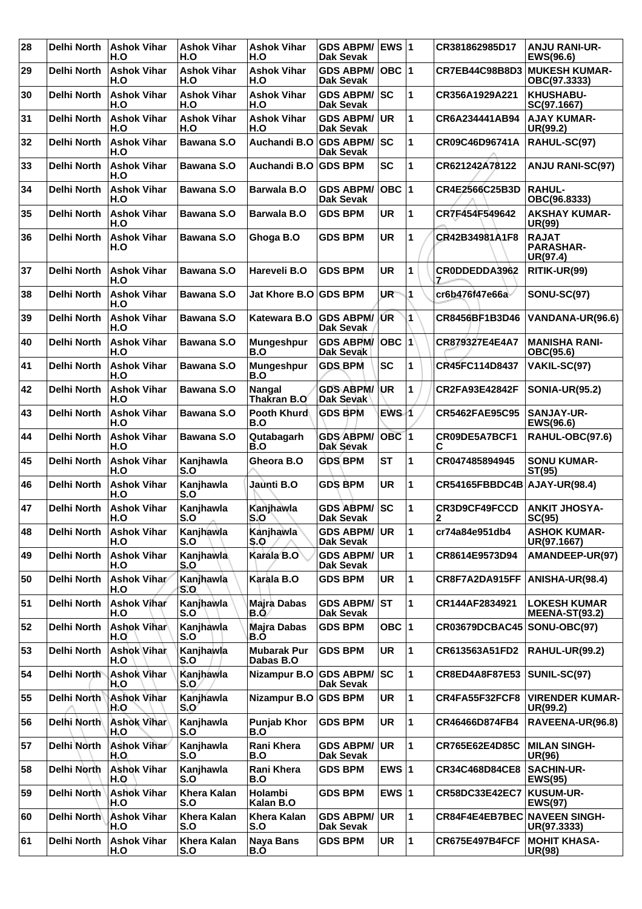| 28 | <b>Delhi North</b> | <b>Ashok Vihar</b><br>H.O  | <b>Ashok Vihar</b><br>H.O | <b>Ashok Vihar</b><br>H.O       | <b>GDS ABPM/</b><br><b>Dak Sevak</b> | EWS 1            |              | CR381862985D17                      | <b>ANJU RANI-UR-</b><br>EWS(96.6)            |
|----|--------------------|----------------------------|---------------------------|---------------------------------|--------------------------------------|------------------|--------------|-------------------------------------|----------------------------------------------|
| 29 | <b>Delhi North</b> | <b>Ashok Vihar</b><br>H.O  | <b>Ashok Vihar</b><br>H.O | <b>Ashok Vihar</b><br>H.O       | <b>GDS ABPM/</b><br><b>Dak Sevak</b> | $OBC$  1         |              | CR7EB44C98B8D3                      | <b>MUKESH KUMAR-</b><br>OBC(97.3333)         |
| 30 | <b>Delhi North</b> | <b>Ashok Vihar</b><br>H.O  | <b>Ashok Vihar</b><br>H.O | <b>Ashok Vihar</b><br>H.O       | <b>GDS ABPM/</b><br><b>Dak Sevak</b> | SC               | 1            | CR356A1929A221                      | <b>KHUSHABU-</b><br>SC(97.1667)              |
| 31 | <b>Delhi North</b> | <b>Ashok Vihar</b><br>H.O  | <b>Ashok Vihar</b><br>H.O | <b>Ashok Vihar</b><br>H.O       | <b>GDS ABPM/</b><br><b>Dak Sevak</b> | <b>UR</b>        | 1            | CR6A234441AB94                      | <b>AJAY KUMAR-</b><br>UR(99.2)               |
| 32 | <b>Delhi North</b> | <b>Ashok Vihar</b><br>H.O  | <b>Bawana S.O</b>         | Auchandi B.O                    | <b>GDS ABPM/</b><br><b>Dak Sevak</b> | SC               | 1            | CR09C46D96741A                      | RAHUL-SC(97)                                 |
| 33 | <b>Delhi North</b> | <b>Ashok Vihar</b><br>H.O  | Bawana S.O                | Auchandi B.O                    | <b>GDS BPM</b>                       | <b>SC</b>        | 1            | CR621242A78122                      | <b>ANJU RANI-SC(97)</b>                      |
| 34 | Delhi North        | <b>Ashok Vihar</b><br>H.O  | <b>Bawana S.O</b>         | <b>Barwala B.O</b>              | <b>GDS ABPM/</b><br><b>Dak Sevak</b> | $OBC$  1         |              | CR4E2566C25B3D                      | <b>RAHUL-</b><br>OBC(96.8333)                |
| 35 | <b>Delhi North</b> | <b>Ashok Vihar</b><br>H.O  | <b>Bawana S.O</b>         | <b>Barwala B.O</b>              | <b>GDS BPM</b>                       | <b>UR</b>        | 1            | CR7F454F549642                      | <b>AKSHAY KUMAR-</b><br><b>UR(99)</b>        |
| 36 | <b>Delhi North</b> | <b>Ashok Vihar</b><br>H.O  | Bawana S.O                | Ghoga B.O                       | <b>GDS BPM</b>                       | <b>UR</b>        | 1            | CR42B34981A1F8                      | <b>RAJAT</b><br><b>PARASHAR-</b><br>UR(97.4) |
| 37 | <b>Delhi North</b> | <b>Ashok Vihar</b><br>H.O  | <b>Bawana S.O</b>         | Hareveli B.O                    | <b>GDS BPM</b>                       | <b>UR</b>        | 1            | CR0DDEDDA3962<br>7                  | RITIK-UR(99)                                 |
| 38 | <b>Delhi North</b> | <b>Ashok Vihar</b><br>H.O  | <b>Bawana S.O</b>         | Jat Khore B.O GDS BPM           |                                      | UR"              | 1            | cr6b476f47e66a                      | <b>SONU-SC(97)</b>                           |
| 39 | Delhi North        | <b>Ashok Vihar</b><br>H.O  | <b>Bawana S.O</b>         | Katewara B.O                    | <b>GDS ABPM/</b><br>Dak Sevak        | ŰR               | 1            | CR8456BF1B3D46                      | VANDANA-UR(96.6)                             |
| 40 | Delhi North        | <b>Ashok Vihar</b><br>H.O  | Bawana S.O                | Mungeshpur<br>B.O               | <b>GDS ABPM/</b><br>Dak Sevak        | OBC 1            |              | CR879327E4E4A7                      | <b>MANISHA RANI-</b><br>OBC(95.6)            |
| 41 | <b>Delhi North</b> | <b>Ashok Vihar</b><br>H.O  | Bawana S.O                | <b>Mungeshpur</b><br>B.O        | <b>GDS BPM</b>                       | <b>SC</b>        | 1            | CR45FC114D8437                      | VAKIL-SC(97)                                 |
| 42 | <b>Delhi North</b> | <b>Ashok Vihar</b><br>H.O  | <b>Bawana S.O</b>         | <b>Nangal</b><br>Thakran B.O    | <b>GDS ABPM/</b><br>Dak Sevak        | UR               | 1            | <b>CR2FA93E42842F</b>               | <b>SONIA-UR(95.2)</b>                        |
| 43 | <b>Delhi North</b> | <b>Ashok Vihar</b><br>H.O  | <b>Bawana S.O</b>         | Pooth Khurd<br>B.O              | <b>GDS BPM</b>                       | EWS 1            |              | <b>CR5462FAE95C95</b>               | <b>SANJAY-UR-</b><br>EWS(96.6)               |
| 44 | <b>Delhi North</b> | <b>Ashok Vihar</b><br>H.O  | Bawana S.O                | Qutabagarh<br>B.O               | <b>GDS ABPM/</b><br>Dak Sévak        | OBC <sub>1</sub> |              | CR09DE5A7BCF1<br>С                  | RAHUL-OBC(97.6)                              |
| 45 | <b>Delhi North</b> | <b>Ashok Vihar</b><br>H.O  | Kanjhawla<br>S.O          | Gheora B.O                      | <b>GDS BPM</b>                       | <b>ST</b>        | 1            | CR047485894945                      | <b>SONU KUMAR-</b><br>ST(95)                 |
| 46 | Delhi North        | <b>Ashok Vihar</b><br>H.O  | Kanjhawla<br>S.O          | Jaunti B.O                      | <b>GDS BPM</b>                       | <b>UR</b>        | 1            | CR54165FBBDC4B AJAY-UR(98.4)        |                                              |
| 47 | <b>Delhi North</b> | <b>Ashok Vihar</b><br>H.O  | Kanjhawla<br>S.O          | Kanjhawla<br>S.O                | <b>GDS ABPM/</b><br><b>Dak Sevak</b> | <b>SC</b>        | 1            | CR3D9CF49FCCD<br>2                  | <b>ANKIT JHOSYA-</b><br>SC(95)               |
| 48 | Delhi North        | <b>Ashok Vihar</b><br>H.O  | Kanjhawla<br>S.O          | Kanjhawla<br>S.O                | <b>GDS ABPM/</b><br>Dak Sevak        | UR               | 1            | cr74a84e951db4                      | <b>ASHOK KUMAR-</b><br>UR(97.1667)           |
| 49 | Delhi North        | <b>Ashok Vihar</b><br>H.O  | Kanjhawla<br>S.O          | Karala B.O                      | <b>GDS ABPM/</b><br><b>Dak Sevak</b> | <b>UR</b>        | $\mathbf{1}$ | CR8614E9573D94                      | AMANDEEP-UR(97)                              |
| 50 | <b>Delhi North</b> | Ashok Vihar/<br>H.O        | Kanjhawla<br>S.O          | Karala B.O                      | <b>GDS BPM</b>                       | <b>UR</b>        | 1            | CR8F7A2DA915FF                      | ANISHA-UR(98.4)                              |
| 51 | Delhi North        | <b>Ashok Vihar</b><br>H.O  | Kanjhawla<br>S.O          | Majra Dabas<br>B.Ó              | <b>GDS ABPM/</b><br>Dak Sevak        | <b>ST</b>        | 1            | CR144AF2834921                      | <b>LOKESH KUMAR</b><br><b>MEENA-ST(93.2)</b> |
| 52 | Delhi North        | Ashok Vihar<br>H.O         | Kanjhawla<br>S.O          | Majra Dabas<br>B.O              | <b>GDS BPM</b>                       | OBC $ 1$         |              | CR03679DCBAC45                      | SONU-OBC(97)                                 |
| 53 | Delhi North        | <b>Ashok Vihar</b><br>H.O  | Kanjhawla<br>S.O          | <b>Mubarak Pur</b><br>Dabas B.O | <b>GDS BPM</b>                       | UR               | 1            | CR613563A51FD2                      | <b>RAHUL-UR(99.2)</b>                        |
| 54 | Delhi North        | <b>Ashok Vihar</b><br>H.O  | Kanjhawla<br>S.O          | Nizampur B.O GDS ABPM/          | Dak Sevak                            | <b>SC</b>        | 1            | <b>CR8ED4A8F87E53</b>               | SUNIL-SC(97)                                 |
| 55 | Delhi North        | <b>Ashok Vihar</b><br>H.O  | Kanjhawla<br>$S_{1}O'$    | <b>Nizampur B.O</b>             | <b>GDS BPM</b>                       | UR               | $\mathbf{1}$ | CR4FA55F32FCF8                      | <b>VIRENDER KUMAR-</b><br>UR(99.2)           |
| 56 | Delhi North        | <b>Ashok Vihar</b><br>H.O  | Kanjhawla<br>S.O          | <b>Punjab Khor</b><br>B.O       | <b>GDS BPM</b>                       | UR               | 1            | CR46466D874FB4                      | RAVEENA-UR(96.8)                             |
| 57 | Delhi North        | <b>Ashok Vihar</b><br>H.O. | Kanjhawla<br>S.O          | Rani Khera<br>B.O               | <b>GDS ABPM/</b><br>Dak Sevak        | <b>UR</b>        | 1            | <b>CR765E62E4D85C</b>               | <b>MILAN SINGH-</b><br><b>UR(96)</b>         |
| 58 | Delhi North        | <b>Ashok Vihar</b><br>H.O  | Kanjhawla<br>S.O          | Rani Khera<br>B.O               | <b>GDS BPM</b>                       | EWS $ 1$         |              | CR34C468D84CE8                      | <b>SACHIN-UR-</b><br><b>EWS(95)</b>          |
| 59 | Delhi North        | <b>Ashok Vihar</b><br>H.O  | <b>Khera Kalan</b><br>S.O | Holambi<br>Kalan B.O            | <b>GDS BPM</b>                       | EWS $ 1$         |              | CR58DC33E42EC7                      | <b>KUSUM-UR-</b><br><b>EWS(97)</b>           |
| 60 | Delhi North        | <b>Ashok Vihar</b><br>Ή.O  | <b>Khera Kalan</b><br>S.O | <b>Khera Kalan</b><br>S.O       | <b>GDS ABPM/</b><br>Dak Sevak        | <b>UR</b>        | 1            | <b>CR84F4E4EB7BEC NAVEEN SINGH-</b> | UR(97.3333)                                  |
| 61 | Delhi North        | <b>Ashok Vihar</b><br>H.O  | <b>Khera Kalan</b><br>S.O | <b>Naya Bans</b><br>B.O         | <b>GDS BPM</b>                       | UR               | $\mathbf{1}$ | CR675E497B4FCF                      | <b>MOHIT KHASA-</b><br>UR(98)                |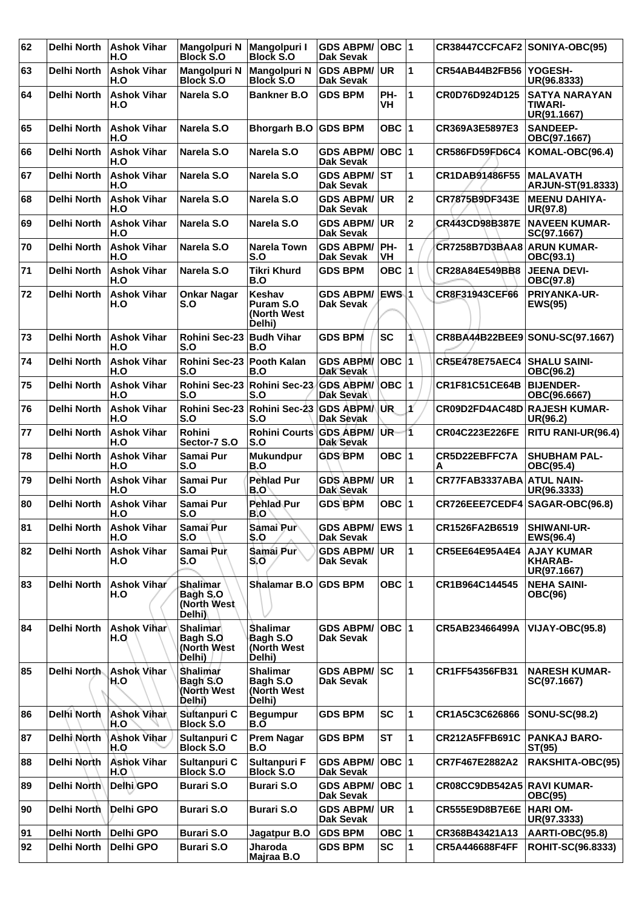| 62 | Delhi North        | <b>Ashok Vihar</b><br>H.O | Mangolpuri N<br><b>Block S.O</b>                      | <b>Mangolpuri I</b><br><b>Block S.O</b>              | <b>GDS ABPM/</b><br><b>Dak Sevak</b> | $OBC$ 1    |                         | CR38447CCFCAF2 SONIYA-OBC(95)    |                                                    |
|----|--------------------|---------------------------|-------------------------------------------------------|------------------------------------------------------|--------------------------------------|------------|-------------------------|----------------------------------|----------------------------------------------------|
| 63 | <b>Delhi North</b> | <b>Ashok Vihar</b><br>H.O | <b>Mangolpuri N</b><br><b>Block S.O</b>               | Mangolpuri N<br><b>Block S.O</b>                     | <b>GDS ABPM/</b><br><b>Dak Sevak</b> | <b>UR</b>  | 1                       | CR54AB44B2FB56 YOGESH-           | UR(96.8333)                                        |
| 64 | <b>Delhi North</b> | <b>Ashok Vihar</b><br>H.O | Narela S.O                                            | <b>Bankner B.O</b>                                   | <b>GDS BPM</b>                       | PH-<br>VH  | 1                       | CR0D76D924D125                   | <b>SATYA NARAYAN</b><br>TIWARI-<br>UR(91.1667)     |
| 65 | <b>Delhi North</b> | <b>Ashok Vihar</b><br>H.O | Narela S.O                                            | Bhorgarh B.O GDS BPM                                 |                                      | OBC $ 1$   |                         | CR369A3E5897E3                   | <b>SANDEEP-</b><br>OBC(97.1667)                    |
| 66 | <b>Delhi North</b> | <b>Ashok Vihar</b><br>H.O | Narela S.O                                            | Narela S.O                                           | <b>GDS ABPM/</b><br><b>Dak Sevak</b> | OBC  1     |                         | <b>CR586FD59FD6C4</b>            | KOMAL-OBC(96.4)                                    |
| 67 | <b>Delhi North</b> | <b>Ashok Vihar</b><br>H.O | Narela S.O                                            | Narela S.O                                           | <b>GDS ABPM/</b><br><b>Dak Sevak</b> | ST         | 1                       | CR1DAB91486F55                   | <b>MALAVATH</b><br><b>ARJUN-ST(91.8333)</b>        |
| 68 | <b>Delhi North</b> | <b>Ashok Vihar</b><br>H.O | Narela S.O                                            | Narela S.O                                           | <b>GDS ABPM/</b><br><b>Dak Sevak</b> | <b>UR</b>  | $\overline{\mathbf{2}}$ | CR7875B9DF343E                   | <b>MEENU DAHIYA-</b><br>UR(97.8)                   |
| 69 | <b>Delhi North</b> | <b>Ashok Vihar</b><br>H.O | Narela S.O                                            | Narela S.O                                           | <b>GDS ABPM/</b><br>Dak Sevak        | <b>UR</b>  | $\mathbf{2}$            | CR443CD98B387E                   | <b>NAVEEN KUMAR-</b><br>SC(97.1667)                |
| 70 | <b>Delhi North</b> | <b>Ashok Vihar</b><br>H.O | Narela S.O                                            | <b>Narela Town</b><br>S.O                            | <b>GDS ABPM/</b><br>Dak Sevak        | PH-<br>VH  | 1                       | CR7258B7D3BAA8                   | <b>ARUN KUMAR-</b><br>OBC(93.1)                    |
| 71 | Delhi North        | <b>Ashok Vihar</b><br>H.O | Narela S.O                                            | <b>Tikri Khurd</b><br>B.O                            | <b>GDS BPM</b>                       | <b>OBC</b> | 11                      | CR28A84E549BB8                   | <b>JEENA DEVI-</b><br>OBC(97.8)                    |
| 72 | <b>Delhi North</b> | <b>Ashok Vihar</b><br>H.O | <b>Onkar Nagar</b><br>S.O                             | Keshav<br><b>Puram S.O</b><br>(North West<br>Delhi)  | <b>GDS ABPM/</b><br><b>Dak Sevak</b> | EWS 1      |                         | CR8F31943CEF66                   | PRIYANKA-UR-<br><b>EWS(95)</b>                     |
| 73 | <b>Delhi North</b> | <b>Ashok Vihar</b><br>H.O | <b>Rohini Sec-23</b><br>S.O                           | <b>Budh Vihar</b><br>B.O                             | <b>GDS BPM</b>                       | <b>SC</b>  | 1                       |                                  | CR8BA44B22BEE9 SONU-SC(97.1667)                    |
| 74 | Delhi North        | <b>Ashok Vihar</b><br>H.O | Rohini Sec-23<br>S.O                                  | Pooth Kalan<br>B.O                                   | <b>GDS ABPM/</b><br>Dak Sevak        | OBC 1      |                         | <b>CR5E478E75AEC4</b>            | <b>SHALU SAINI-</b><br>OBC(96.2)                   |
| 75 | <b>Delhi North</b> | <b>Ashok Vihar</b><br>H.O | <b>Rohini Sec-23</b><br>S.O                           | Rohini Sec-23<br>S.O                                 | <b>GDS ABPM/</b><br>Dak Sevak        | OBC  1     |                         | <b>CR1F81C51CE64B</b>            | <b>BIJENDER-</b><br>OBC(96.6667)                   |
| 76 | <b>Delhi North</b> | <b>Ashok Vihar</b><br>H.O | Rohini Sec-23<br>S.O                                  | Rohini Sec-23<br>S.O                                 | ∣GDS ABPM/∖<br>Dak Sevak             | UR.        | ď                       | CR09D2FD4AC48D                   | <b>RAJESH KUMAR-</b><br>UR(96.2)                   |
| 77 | Delhi North        | <b>Ashok Vihar</b><br>H.O | Rohini<br>Sector-7 S.O                                | Rohini Courts<br>S.O                                 | <b>GDS ABPM/</b><br>Dak Sevak        | UR-        | $\overline{1}$          | <b>CR04C223E226FE</b>            | RITU RANI-UR(96.4)                                 |
| 78 | <b>Delhi North</b> | <b>Ashok Vihar</b><br>H.O | Samai Pur<br>S.O                                      | <b>Mukundpur</b><br>B.O                              | <b>GDS BPM</b>                       | OBC $ 1$   |                         | CR5D22EBFFC7A<br>Α               | <b>SHUBHAM PAL-</b><br>OBC(95.4)                   |
| 79 | <b>Delhi North</b> | <b>Ashok Vihar</b><br>H.O | Samai Pur<br>S.O                                      | <b>Pehlad Pur</b><br>B.O                             | <b>GDS ABPM/</b><br>Dak Sevak        | <b>UR</b>  | 1                       | CR77FAB3337ABA                   | <b>ATUL NAIN-</b><br>UR(96.3333)                   |
| 80 | Delhi North        | <b>Ashok Vihar</b><br>H.O | Samai Pur<br>S.O                                      | Pehlad Pur<br>B.O                                    | <b>GDS BPM</b>                       | OBC $ 1$   |                         | CR726EEE7CEDF4   SAGAR-OBC(96.8) |                                                    |
| 81 | <b>Delhi North</b> | <b>Ashok Vihar</b><br>H.O | Samai Pur<br>S.O                                      | Samai Pur<br>S.O                                     | GDS ABPM/ EWS  1<br><b>Dak Sevak</b> |            |                         | CR1526FA2B6519                   | <b>SHIWANI-UR-</b><br>EWS(96.4)                    |
| 82 | <b>Delhi North</b> | <b>Ashok Vihar</b><br>H.O | Samai Pur<br>S.O                                      | Samai Pur<br>S.O                                     | <b>GDS ABPM/</b><br><b>Dak Sevak</b> | <b>UR</b>  | 1                       | CR5EE64E95A4E4                   | <b>AJAY KUMAR</b><br><b>KHARAB-</b><br>UR(97.1667) |
| 83 | Delhi North        | <b>Ashok Vihar</b><br>H.O | Shalimar<br>Bagh S.O<br>(North West<br>Delhi)         | <b>Shalamar B.O</b>                                  | <b>GDS BPM</b>                       | OBC $ 1$   |                         | CR1B964C144545                   | <b>NEHA SAINI-</b><br><b>OBC(96)</b>               |
| 84 | <b>Delhi North</b> | <b>Ashok Vihar</b><br>H.O | <b>Shalimar</b><br>Bagh S.O.<br>(North West<br>Delhi) | <b>Shalimar</b><br>Bagh S.O<br>(North West<br>Delhi) | <b>GDS ABPM/</b><br>Dak Sevak        | OBC  1     |                         | CR5AB23466499A                   | <b>VIJAY-OBC(95.8)</b>                             |
| 85 | Delhi North        | <b>Ashok Vihar</b><br>H.O | Shalimar<br>Bagh S.O<br>(North West<br>Delhi)         | <b>Shalimar</b><br>Bagh S.O<br>(North West<br>Delhi) | <b>GDS ABPM/ SC</b><br>Dak Sevak     |            | $\mathbf{1}$            | CR1FF54356FB31                   | <b>NARESH KUMAR-</b><br>SC(97.1667)                |
| 86 | Delhi North        | <b>Ashok Vihar</b><br>H.O | Sultanpuri C<br><b>Block S.O</b>                      | <b>Begumpur</b><br>B.O                               | <b>GDS BPM</b>                       | <b>SC</b>  | $\mathbf{1}$            | CR1A5C3C626866                   | <b>SONU-SC(98.2)</b>                               |
| 87 | <b>Delhi</b> North | <b>Ashok Vihar</b><br>H.O | Sultanpuri C<br><b>Block S.O</b>                      | <b>Prem Nagar</b><br>B.O                             | <b>GDS BPM</b>                       | <b>ST</b>  | 1                       | <b>CR212A5FFB691C</b>            | <b>PANKAJ BARO-</b><br><b>ST(95)</b>               |
| 88 | Delhi North        | <b>Ashok Vihar</b><br>H.O | Sultanpuri C<br><b>Block S.O</b>                      | Sultanpuri F<br><b>Block S.O</b>                     | <b>GDS ABPM/</b><br>Dak Sevak        | $OBC$  1   |                         | CR7F467E2882A2                   | RAKSHITA-OBC(95)                                   |
| 89 | Delhi North        | Delhi GPO                 | <b>Burari S.O</b>                                     | <b>Burari S.O</b>                                    | <b>GDS ABPM/</b><br>Dak Sevak        | OBC  1     |                         | CR08CC9DB542A5 RAVI KUMAR-       | <b>OBC(95)</b>                                     |
| 90 | Delhi North        | Delhi GPO                 | <b>Burari S.O</b>                                     | <b>Burari S.O</b>                                    | <b>GDS ABPM/</b><br><b>Dak Sevak</b> | UR.        | 1                       | CR555E9D8B7E6E                   | <b>HARIOM-</b><br>UR(97.3333)                      |
| 91 | <b>Delhi North</b> | Delhi GPO                 | <b>Burari S.O</b>                                     | Jagatpur B.O                                         | <b>GDS BPM</b>                       | OBC $ 1$   |                         | CR368B43421A13                   | AARTI-OBC(95.8)                                    |
| 92 | Delhi North        | Delhi GPO                 | <b>Burari S.O</b>                                     | <b>Jharoda</b><br>Majraa B.O                         | <b>GDS BPM</b>                       | <b>SC</b>  | 1                       | <b>CR5A446688F4FF</b>            | <b>ROHIT-SC(96.8333)</b>                           |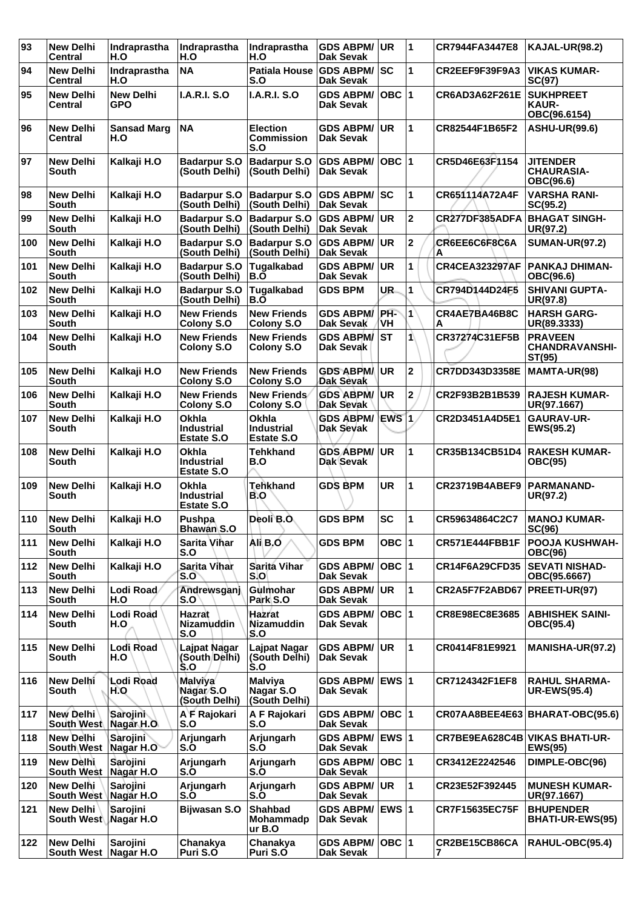| 93  | <b>New Delhi</b><br>Central                | Indraprastha<br>H.O       | Indraprastha<br>H.O                             | Indraprastha<br>H.O                                    | <b>GDS ABPM/</b><br><b>Dak Sevak</b>    | UR.          | $\overline{\mathbf{1}}$ | CR7944FA3447E8                 | <b>KAJAL-UR(98.2)</b>                             |
|-----|--------------------------------------------|---------------------------|-------------------------------------------------|--------------------------------------------------------|-----------------------------------------|--------------|-------------------------|--------------------------------|---------------------------------------------------|
| 94  | <b>New Delhi</b><br>Central                | Indraprastha<br>H.O       | <b>NA</b>                                       | <b>Patiala House</b><br>S.O                            | <b>GDS ABPM/ SC</b><br><b>Dak Sevak</b> |              | 1                       | CR2EEF9F39F9A3                 | <b>VIKAS KUMAR-</b><br>SC(97)                     |
| 95  | <b>New Delhi</b><br><b>Central</b>         | <b>New Delhi</b><br>GPO   | <b>I.A.R.I. S.O</b>                             | <b>I.A.R.I. S.O</b>                                    | <b>GDS ABPM/</b><br><b>Dak Sevak</b>    | OBC  1       |                         | CR6AD3A62F261E                 | <b>SUKHPREET</b><br><b>KAUR-</b><br>OBC(96.6154)  |
| 96  | <b>New Delhi</b><br>Central                | <b>Sansad Marg</b><br>H.O | <b>NA</b>                                       | <b>Election</b><br><b>Commission</b><br>S.O            | <b>GDS ABPM/</b><br><b>Dak Sevak</b>    | <b>UR</b>    | 1                       | CR82544F1B65F2                 | <b>ASHU-UR(99.6)</b>                              |
| 97  | <b>New Delhi</b><br><b>South</b>           | Kalkaji H.O               | <b>Badarpur S.O</b><br>(South Delhi)            | <b>Badarpur S.O</b><br>(South Delhi)                   | <b>GDS ABPM/</b><br>Dak Sevak           | OBC  1       |                         | CR5D46E63F1154                 | <b>JITENDER</b><br><b>CHAURASIA-</b><br>OBC(96.6) |
| 98  | <b>New Delhi</b><br>South                  | Kalkaji H.O               | <b>Badarpur S.O</b><br>(South Delhi)            | <b>Badarpur S.O</b><br>(South Delhi)                   | <b>GDS ABPM/ SC</b><br>Dak Sevak        |              | 1                       | CR651114A72A4F                 | <b>VARSHA RANI-</b><br>SC(95.2)                   |
| 99  | <b>New Delhi</b><br><b>South</b>           | Kalkaji H.O               | <b>Badarpur S.O</b><br>(South Delhi)            | <b>Badarpur S.O</b><br>(South Delhi)                   | <b>GDS ABPM/</b><br>Dak Sevak           | <b>UR</b>    | $\overline{2}$          | CR277DF385ADFA                 | <b>BHAGAT SINGH-</b><br>UR(97.2)                  |
| 100 | <b>New Delhi</b><br><b>South</b>           | Kalkaji H.O               | <b>Badarpur S.O</b><br>(South Delhi)            | <b>Badarpur S.O</b><br>(South Delhi)                   | <b>GDS ABPM/</b><br><b>Dak Sevak</b>    | UR           | $\overline{\mathbf{c}}$ | CR6EE6C6F8C6A<br>A             | <b>SUMAN-UR(97.2)</b>                             |
| 101 | <b>New Delhi</b><br>South                  | Kalkaji H.O               | <b>Badarpur S.O</b><br>(South Delhi)            | Tugalkabad<br>B.O                                      | <b>GDS ABPM/</b><br><b>Dak Sevak</b>    | UR           | 1                       | <b>CR4CEA323297AF</b>          | <b>PANKAJ DHIMAN-</b><br>OBC(96.6)                |
| 102 | <b>New Delhi</b><br>South                  | Kalkaji H.O               | <b>Badarpur S.O</b><br>(South Delhi)            | Tugalkabad<br>B.O                                      | <b>GDS BPM</b>                          | UR.          | 1                       | CR794D144D24F5                 | <b>SHIVANI GUPTA-</b><br>UR(97.8)                 |
| 103 | <b>New Delhi</b><br>South                  | Kalkaji H.O               | <b>New Friends</b><br><b>Colony S.O</b>         | <b>New Friends</b><br><b>Colony S.O</b>                | <b>GDS ABPM/</b><br>Dak Sevak           | PH-<br>'VΗ   | 1                       | CR4AE7BA46B8C<br>A             | <b>HARSH GARG-</b><br>UR(89.3333)                 |
| 104 | <b>New Delhi</b><br>South                  | Kalkaji H.O               | <b>New Friends</b><br>Colony S.O                | <b>New Friends</b><br>Colony S.O                       | <b>GDS ABPM/ST</b><br>Dak Sevak         |              | 1                       | CR37274C31EF5B                 | <b>PRAVEEN</b><br><b>CHANDRAVANSHI-</b><br>ST(95) |
| 105 | <b>New Delhi</b><br><b>South</b>           | Kalkaji H.O               | <b>New Friends</b><br>Colony S.O                | <b>New Friends</b><br><b>Colony S.O</b>                | <b>GDS ABPMA</b><br>Dak Sevak           | UR.          | $\overline{\mathbf{2}}$ | CR7DD343D3358E                 | MAMTA-UR(98)                                      |
| 106 | <b>New Delhi</b><br><b>South</b>           | Kalkaji H.O               | <b>New Friends</b><br><b>Colony S.O</b>         | <b>New Friends</b><br><b>Colony S.O</b>                | <b>GDS ABPM/</b><br>Dak Sevak           | ∣UR          | $\mathbf 2$             | CR2F93B2B1B539                 | <b>RAJESH KUMAR-</b><br>UR(97.1667)               |
| 107 | <b>New Delhi</b><br>South                  | Kalkaji H.O               | Okhla<br><b>Industrial</b><br>Estate S.O        | <b>Okhla</b><br><b>Industrial</b><br><b>Estate S.O</b> | <b>GDS ABPM/</b><br><b>Dak Sevak</b>    | EWS 1        |                         | CR2D3451A4D5E1                 | <b>GAURAV-UR-</b><br>EWS(95.2)                    |
| 108 | <b>New Delhi</b><br>South                  | Kalkaji H.O               | Okhla<br><b>Industrial</b><br><b>Estate S.O</b> | <b>Tehkhand</b><br>B.O                                 | <b>GDS ABPM/</b><br>Dak Sevak           | UR.          | 1                       | CR35B134CB51D4                 | <b>RAKESH KUMAR-</b><br><b>OBC(95)</b>            |
| 109 | <b>New Delhi</b><br>South                  | Kalkaji H.O               | Okhla<br><b>Industrial</b><br><b>Estate S.O</b> | <b>Tehkhand</b><br>B.O                                 | <b>GDS BPM</b>                          | <b>UR</b>    | $\mathbf{1}$            | <b>CR23719B4ABEF9</b>          | <b>PARMANAND-</b><br>UR(97.2)                     |
| 110 | <b>New Delhi</b><br>South                  | Kalkaji H.O               | Pushpa<br><b>Bhawan S.O</b>                     | Deoli B.O.                                             | <b>GDS BPM</b>                          | <b>SC</b>    | $\mathbf 1$             | CR59634864C2C7                 | IMANOJ KUMAR-<br>SC(96)                           |
| 111 | <b>New Delhi</b><br>South                  | Kalkaji H.O               | <b>Sarita Vihar</b><br>S.O                      | Ali B.O                                                | <b>GDS BPM</b>                          | OBC $ 1$     |                         | <b>CR571E444FBB1F</b>          | POOJA KUSHWAH-<br><b>OBC(96)</b>                  |
| 112 | <b>New Delhi</b><br>South                  | Kalkaji H.O               | <b>Sarita Vihar</b><br>S.O                      | Sarita Vihar<br>S.O                                    | <b>GDS ABPM/</b><br><b>Dak Sevak</b>    | OBC  1       |                         | <b>CR14F6A29CFD35</b>          | <b>SEVATI NISHAD-</b><br>OBC(95.6667)             |
| 113 | <b>New Delhi</b><br>South                  | Lodi Road<br>H.O          | Andrewsganj<br>S.O                              | Gulmohar<br>Park S.O                                   | <b>GDS ABPM/</b><br>Dak Sevak           | <b>UR</b>    | 1                       | CR2A5F7F2ABD67                 | <b>PREETI-UR(97)</b>                              |
| 114 | <b>New Delhi</b><br>South                  | Lodi Road<br>H.O          | Hazrat<br>Nizamuddin<br>S.O                     | Hazrat<br>Nizamuddin<br>S.O                            | <b>GDS ABPM/</b><br><b>Dak Sevak</b>    | OBC  1       |                         | CR8E98EC8E3685                 | <b>ABHISHEK SAINI-</b><br>OBC(95.4)               |
| 115 | <b>New Delhi</b><br>South                  | Lodi Road<br>H.O          | Lajpat Nagar<br>(South Delhi)<br>S.O            | <b>Laipat Nagar</b><br>(South Delhi)<br>S.O            | <b>GDS ABPM/</b><br>Dak Sevak           | UR.          | $\mathbf{1}$            | CR0414F81E9921                 | MANISHA-UR(97.2)                                  |
| 116 | <b>New Delhi</b><br>South                  | <b>Lodi Road</b><br>H.O   | <b>Malviya</b><br>Nagar S.O<br>(South Delhi)    | <b>Malviya</b><br>Nagar S.O<br>(South Delhi)           | GDS ABPM/ EWS 1<br><b>Dak Sevak</b>     |              |                         | CR7124342F1EF8                 | <b>RAHUL SHARMA-</b><br><b>UR-EWS(95.4)</b>       |
| 117 | <b>New Delhi</b><br>South West             | Sarojini<br>Nagar H.O.    | A F Rajokari<br>S.O                             | A F Rajokari<br>S.O                                    | <b>GDS ABPM/</b><br><b>Dak Sevak</b>    | OBC 1        |                         | CR07AA8BEE4E63                 | <b>BHARAT-OBC(95.6)</b>                           |
| 118 | <b>New Delhi</b><br><b>South West</b>      | Sarojini<br>Nagar H.O     | Arjungarh<br>S.O                                | Arjungarh<br>S.O                                       | <b>GDS ABPM/</b><br>Dak Sevak           | EWS 1        |                         | CR7BE9EA628C4B VIKAS BHATI-UR- | <b>EWS(95)</b>                                    |
| 119 | New Dèlhi<br><b>South West</b>             | Sarojini<br>Nagar H.O     | Arjungarh<br>S.O                                | Arjungarh<br>S.O                                       | <b>GDS ABPM/</b><br>Dak Sevak           | OBC  1       |                         | CR3412E2242546                 | DIMPLE-OBC(96)                                    |
| 120 | <b>New Delhi</b><br>South West   Nagar H.O | Sarojini                  | Arjungarh<br>S.O                                | Arjungarh<br>S.O                                       | <b>GDS ABPM/</b><br>Dak Sevak           | UR           | 1                       | CR23E52F392445                 | <b>MUNESH KUMAR-</b><br>UR(97.1667)               |
| 121 | <b>New Delhi</b><br>South West Nagar H.O   | Sarojini                  | <b>Bijwasan S.O</b>                             | <b>Shahbad</b><br><b>Mohammadp</b><br>ur B.O           | <b>GDS ABPM/</b><br><b>Dak Sevak</b>    | <b>EWS 1</b> |                         | <b>CR7F15635EC75F</b>          | <b>BHUPENDER</b><br><b>BHATI-UR-EWS(95)</b>       |
| 122 | <b>New Delhi</b><br><b>South West</b>      | Sarojini<br>Nagar H.O     | Chanakya<br>Puri S.O                            | Chanakya<br>Puri S.O                                   | <b>GDS ABPM/</b><br><b>Dak Sevak</b>    | OBC  1       |                         | CR2BE15CB86CA<br>7             | RAHUL-OBC(95.4)                                   |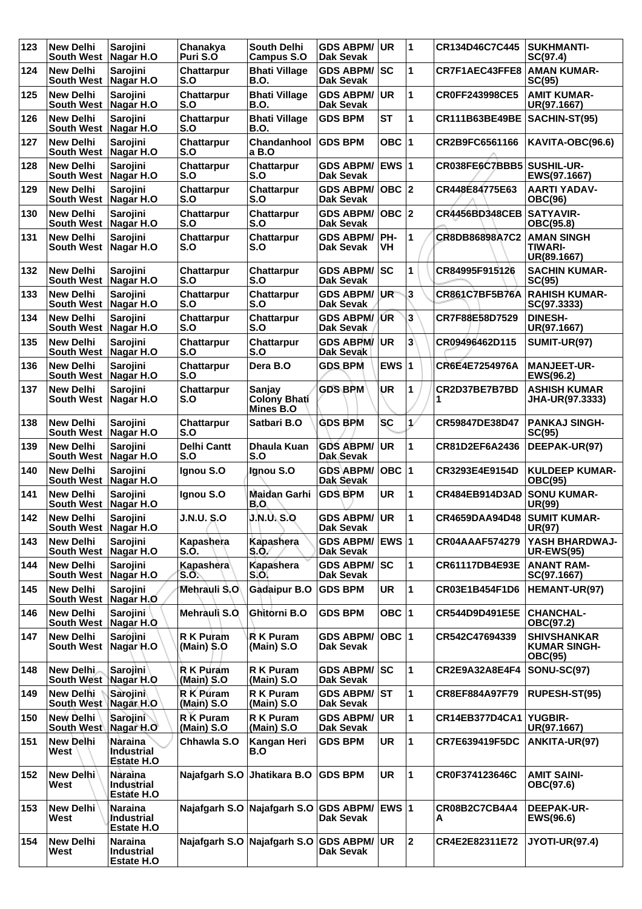| 123 | <b>New Delhi</b><br>South West   Nagar H.O  | Sarojini                                          | Chanakya<br>Puri S.O      | <b>South Delhi</b><br><b>Campus S.O</b>               | <b>GDS ABPM/</b><br><b>Dak Sevak</b> | <b>UR</b>               | 1                       | CR134D46C7C445        | <b>SUKHMANTI-</b><br>SC(97.4)                               |
|-----|---------------------------------------------|---------------------------------------------------|---------------------------|-------------------------------------------------------|--------------------------------------|-------------------------|-------------------------|-----------------------|-------------------------------------------------------------|
| 124 | <b>New Delhi</b><br><b>South West</b>       | Sarojini<br>Nagar H.O                             | Chattarpur<br>S.O         | <b>Bhati Village</b><br><b>B.O.</b>                   | <b>GDS ABPM/</b><br><b>Dak Sevak</b> | <b>SC</b>               | 1                       | CR7F1AEC43FFE8        | <b>AMAN KUMAR-</b><br>SC(95)                                |
| 125 | <b>New Delhi</b><br><b>South West</b>       | Sarojini<br>Nagar H.O                             | Chattarpur<br>S.O         | <b>Bhati Village</b><br><b>B.O.</b>                   | <b>GDS ABPM/</b><br>Dak Sevak        | <b>UR</b>               | 1                       | CR0FF243998CE5        | <b>AMIT KUMAR-</b><br>UR(97.1667)                           |
| 126 | <b>New Delhi</b><br>South West   Nagar H.O  | <b>Sarojini</b>                                   | Chattarpur<br>S.O         | <b>Bhati Village</b><br>B.O.                          | <b>GDS BPM</b>                       | <b>ST</b>               | 1                       | CR111B63BE49BE        | SACHIN-ST(95)                                               |
| 127 | <b>New Delhi</b><br><b>South West</b>       | Sarojini<br>Nagar H.O                             | Chattarpur<br>S.O         | Chandanhool<br>a B.O                                  | <b>GDS BPM</b>                       | OBC $ 1$                |                         | CR2B9FC6561166        | KAVITA-OBC(96.6)                                            |
| 128 | <b>New Delhi</b><br>South West   Nagar H.O  | Sarojini                                          | Chattarpur<br>S.O         | Chattarpur<br>S.O                                     | <b>GDS ABPM/</b><br>Dak Sevak        | <b>EWS 1</b>            |                         | CR038FE6C7BBB5        | <b>SUSHIL-UR-</b><br>EWS(97.1667)                           |
| 129 | <b>New Delhi</b><br>South West   Nagar H.O  | Sarojini                                          | Chattarpur<br>S.O         | Chattarpur<br>S.O                                     | <b>GDS ABPM/</b><br>Dak Sevak        | $OBC$ 2                 |                         | CR448E84775E63        | <b>AARTI YADAV-</b><br><b>OBC(96)</b>                       |
| 130 | <b>New Delhi</b><br><b>South West</b>       | Sarojini<br>Nagar H.O                             | <b>Chattarpur</b><br>S.O  | Chattarpur<br>S.O                                     | <b>GDS ABPM/</b><br><b>Dak Sevak</b> | OBC $ 2$                |                         | <b>CR4456BD348CEB</b> | <b>SATYAVIR-</b><br>OBC(95.8)                               |
| 131 | <b>New Delhi</b><br><b>South West</b>       | Sarojini<br>Nagar H.O                             | <b>Chattarpur</b><br>S.O  | Chattarpur<br>S.O                                     | <b>GDS ABPM/</b><br>Dak Sevak        | PH-<br><b>VH</b>        | 1                       | CR8DB86898A7C2        | <b>AMAN SINGH</b><br><b>TIWARI-</b><br>UR(89.1667)          |
| 132 | <b>New Delhi</b><br><b>South West</b>       | Sarojini<br>Nagar H.O                             | <b>Chattarpur</b><br>S.O  | Chattarpur<br>S.O                                     | <b>GDS ABPM/</b><br><b>Dak Sevak</b> | sc                      | 1                       | CR84995F915126        | <b>SACHIN KUMAR-</b><br>SC(95)                              |
| 133 | <b>New Delhi</b><br><b>South West</b>       | Sarojini<br>Nagar H.O                             | Chattarpur<br>S.O         | Chattarpur<br>S.O                                     | <b>GDS ABPM/</b><br><b>Dak Sevak</b> | <b>UR</b>               | 3                       | CR861C7BF5B76A        | <b>RAHISH KUMAR-</b><br>SC(97.3333)                         |
| 134 | <b>New Delhi</b><br><b>South West</b>       | Sarojini<br>Nagar H.O                             | Chattarpur<br>S.O         | Chattarpur<br>S.O                                     | <b>GDS ABPM/</b><br>Dak Sevak        | ÚR                      | 3                       | CR7F88E58D7529        | <b>DINESH-</b><br>UR(97.1667)                               |
| 135 | <b>New Delhi</b><br><b>South West</b>       | <b>Sarojini</b><br>Nagar H.O                      | Chattarpur<br>S.O         | Chattarpur<br>S.O                                     | <b>GDS ABPM/</b><br><b>Dak Sevak</b> | <b>UR</b>               | 3                       | CR09496462D115        | <b>SUMIT-UR(97)</b>                                         |
| 136 | <b>New Delhi</b><br><b>South West</b>       | Sarojini<br>Nagar H.O                             | Chattarpur<br>S.O         | Dera B.O                                              | <b>GDS BPM</b>                       | EWS $ 1$                |                         | CR6E4E7254976A        | <b>MANJEET-UR-</b><br>EWS(96.2)                             |
| 137 | <b>New Delhi</b><br><b>South West</b>       | Sarojini<br>Nagar H.O                             | <b>Chattarpur</b><br>S.O  | Sanjay<br><b>Colony Bhati</b><br>Mines <sup>B.O</sup> | <b>GDS BPM</b>                       | UR                      | 1                       | CR2D37BE7B7BD         | <b>ASHISH KUMAR</b><br><b>JHA-UR(97.3333)</b>               |
| 138 | <b>New Delhi</b><br>South West   Nagar H.O  | Sarojini                                          | Chattarpur<br>S.O         | Satbari B.O                                           | <b>GDS BPM</b>                       | <b>SC</b>               | $\mathcal{V}$           | CR59847DE38D47        | <b>PANKAJ SINGH-</b><br>SC(95)                              |
| 139 | <b>New Delhi</b><br><b>South West</b>       | Sarojini<br>Nagar H.O                             | <b>Delhi Cantt</b><br>S.O | Dhaula Kuan<br>S.O                                    | <b>GDS ABPM/</b><br>Dak Sevak        | <b>UR</b>               | 1                       | CR81D2EF6A2436        | DEEPAK-UR(97)                                               |
| 140 | <b>New Delhi</b><br><b>South West</b>       | Sarojini<br>Nagar H.O                             | Ignou S.O                 | Ignou S.O                                             | GDS ABPM/<br>Dak Sevak               | <b>OBC</b>              | 1                       | CR3293E4E9154D        | <b>KULDEEP KUMAR-</b><br><b>OBC(95)</b>                     |
| 141 | <b>New Delhi</b><br><b>South West</b>       | Sarojini<br>Nagar H.O                             | Ignou S.O                 | Maidan Garhi<br>B.O                                   | <b>GDS BPM</b>                       | <b>UR</b>               | 1                       | <b>CR484EB914D3AD</b> | <b>SONU KUMAR-</b><br>UR(99)                                |
| 142 | <b>New Delhi</b><br>South West   Nagar H.O  | Sarojini                                          | <b>J.N.U. S.O</b>         | <b>J.N.U.S.O</b>                                      | <b>GDS ABPM/</b><br><b>Dak Sevak</b> | UR                      | $\mathbf{1}$            | CR4659DAA94D48        | <b>SUMIT KUMAR-</b><br><b>UR(97)</b>                        |
| 143 | <b>New Delhi</b><br>South West Nagar H.O    | Sarojini                                          | Kapashera<br>S.O.         | Kapashera<br>S.O.                                     | <b>GDS ABPM/</b><br>Dak Sevak        | EWS $ 1$                |                         | <b>CR04AAAF574279</b> | YASH BHARDWAJ-<br><b>UR-EWS(95)</b>                         |
| 144 | <b>New Delhi</b><br>South West   Nagar H.O  | Sarojini                                          | Kapashera<br>S.O.         | Kapashera<br>S.O.                                     | <b>GDS ABPM/</b><br>Dak Sevak        | SC                      | 1                       | CR61117DB4E93E        | <b>ANANT RAM-</b><br>SC(97.1667)                            |
| 145 | <b>New Delhi</b><br><b>South West</b>       | Sarojini<br>Nagar H.O                             | Mehrauli S.O              | Gadaipur B.O                                          | <b>GDS BPM</b>                       | <b>UR</b>               | 1                       | CR03E1B454F1D6        | HEMANT-UR(97)                                               |
| 146 | <b>New Delhi</b><br>South West   Nagar H.O. | Sarojini                                          | Mehrauli S.O.             | Ghitorni B.O                                          | <b>GDS BPM</b>                       | OBC $ 1$                |                         | CR544D9D491E5E        | <b>CHANCHAL-</b><br>OBC(97.2)                               |
| 147 | <b>New Delhi</b><br><b>South West</b>       | Sarojini<br>Nagar H.O                             | R K Puram<br>(Main) S.O   | R K Puram<br>(Main) S.O                               | <b>GDS ABPM/</b><br>Dak Sevak        | $OBC$  1                |                         | CR542C47694339        | <b>SHIVSHANKAR</b><br><b>KUMAR SINGH-</b><br><b>OBC(95)</b> |
| 148 | New Delhi<br>South West                     | Sarojini <sup>1</sup><br>Nagar H.O                | R K Puram<br>(Main) S.O   | <b>RK Puram</b><br>(Main) S.O                         | <b>GDS ABPM/</b><br>Dak Sevak        | SC                      | 1                       | <b>CR2E9A32A8E4F4</b> | <b>SONU-SC(97)</b>                                          |
| 149 | New Delhi<br>South West Nagar H.O           | Sarojini                                          | R K Puram<br>(Main) S.O   | R K Puram<br>(Main) S.O                               | <b>GDS ABPM/</b><br>Dak Sevak        | <b>ST</b>               | 1                       | CR8EF884A97F79        | RUPESH-ST(95)                                               |
| 150 | New Delhi<br>South West                     | Sarojini<br>Nagar H.O                             | R K Puram<br>(Main) S.O   | R K Puram<br>(Main) S.O                               | <b>GDS ABPM/</b><br>Dak Sevak        | <b>UR</b>               | 1                       | CR14EB377D4CA1        | <b>YUGBIR-</b><br>UR(97.1667)                               |
| 151 | <b>New Delhi</b><br>West                    | Nàraina<br>Industrial<br><b>Estate H.O.</b>       | Chhawla S.O               | Kangan Heri<br>B.O                                    | <b>GDS BPM</b>                       | <b>UR</b>               | 1                       | CR7E639419F5DC        | ANKITA-UR(97)                                               |
| 152 | New Delhi<br>West                           | <b>Naraina</b><br>Industrial<br><b>Estate H.O</b> | Najafgarh S.O             | Jhatikara B.O                                         | <b>GDS BPM</b>                       | <b>UR</b>               | $\mathbf{1}$            | CR0F374123646C        | <b>AMIT SAINI-</b><br>OBC(97.6)                             |
| 153 | <b>New Delhi</b><br>West                    | <b>Naraina</b><br>Industrial<br><b>Estate H.O</b> |                           | Najafgarh S.O Najafgarh S.O                           | <b>GDS ABPM/</b><br>Dak Sevak        | <b>EWS</b> <sub>1</sub> |                         | CR08B2C7CB4A4<br>А    | <b>DEEPAK-UR-</b><br>EWS(96.6)                              |
| 154 | <b>New Delhi</b><br>West                    | <b>Naraina</b><br>Industrial<br>Estate H.O        | Najafgarh S.O             | Najafgarh S.O                                         | <b>GDS ABPM/</b><br>Dak Sevak        | UR                      | $\overline{\mathbf{2}}$ | CR4E2E82311E72        | <b>JYOTI-UR(97.4)</b>                                       |